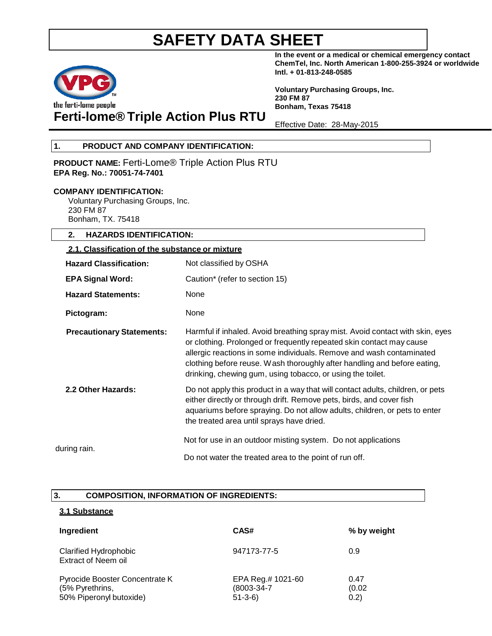

**In the event or a medical or chemical emergency contact ChemTel, Inc. North American 1-800-255-3924 or worldwide Intl. + 01-813-248-0585**

**Voluntary Purchasing Groups, Inc. 230 FM 87 Bonham, Texas 75418**

# **Ferti-lome® Triple Action Plus RTU**

Effective Date: 28-May-2015

### **1. PRODUCT AND COMPANY IDENTIFICATION:**

**PRODUCT NAME:** Ferti-Lome® Triple Action Plus RTU **EPA Reg. No.: 70051-74-7401**

### **COMPANY IDENTIFICATION:**

Voluntary Purchasing Groups, Inc. 230 FM 87 Bonham, TX. 75418

### **2. HAZARDS IDENTIFICATION:**

## **2.1. Classification of the substance or mixture Hazard Classification:** Not classified by OSHA **EPA Signal Word:** Caution\* (refer to section 15) **Hazard Statements:** None Pictogram: None **Precautionary Statements:** Harmful if inhaled. Avoid breathing spray mist. Avoid contact with skin, eyes or clothing. Prolonged or frequently repeated skin contact may cause allergic reactions in some individuals. Remove and wash contaminated clothing before reuse. Wash thoroughly after handling and before eating, drinking, chewing gum, using tobacco, or using the toilet. **2.2 Other Hazards:** Do not apply this product in a way that will contact adults, children, or pets either directly or through drift. Remove pets, birds, and cover fish aquariums before spraying. Do not allow adults, children, or pets to enter the treated area until sprays have dried. Not for use in an outdoor misting system. Do not applications during rain. Do not water the treated area to the point of run off.

### **3. COMPOSITION, INFORMATION OF INGREDIENTS:**

### **3.1 Substance**

| Ingredient                                                                   | CAS#                                                   | % by weight             |
|------------------------------------------------------------------------------|--------------------------------------------------------|-------------------------|
| <b>Clarified Hydrophobic</b><br><b>Extract of Neem oil</b>                   | 947173-77-5                                            | 0.9                     |
| Pyrocide Booster Concentrate K<br>(5% Pyrethrins,<br>50% Piperonyl butoxide) | EPA Reg.# 1021-60<br>$(8003 - 34 - 7)$<br>$51 - 3 - 6$ | 0.47<br>(0.02)<br>(0.2) |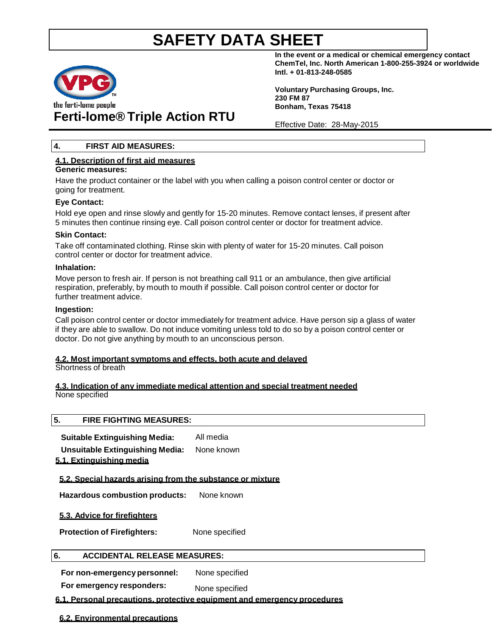

# **Ferti-lome® Triple Action RTU**

**In the event or a medical or chemical emergency contact ChemTel, Inc. North American 1-800-255-3924 or worldwide Intl. + 01-813-248-0585**

**Voluntary Purchasing Groups, Inc. 230 FM 87 Bonham, Texas 75418**

Effective Date: 28-May-2015

### **4. FIRST AID MEASURES:**

## **4.1. Description of first aid measures**

### **Generic measures:**

Have the product container or the label with you when calling a poison control center or doctor or going for treatment.

### **Eye Contact:**

Hold eye open and rinse slowly and gently for 15-20 minutes. Remove contact lenses, if present after 5 minutes then continue rinsing eye. Call poison control center or doctor for treatment advice.

### **Skin Contact:**

Take off contaminated clothing. Rinse skin with plenty of water for 15-20 minutes. Call poison control center or doctor for treatment advice.

### **Inhalation:**

Move person to fresh air. If person is not breathing call 911 or an ambulance, then give artificial respiration, preferably, by mouth to mouth if possible. Call poison control center or doctor for further treatment advice.

### **Ingestion:**

Call poison control center or doctor immediately for treatment advice. Have person sip a glass of water if they are able to swallow. Do not induce vomiting unless told to do so by a poison control center or doctor. Do not give anything by mouth to an unconscious person.

### **4.2. Most important symptoms and effects, both acute and delayed**

Shortness of breath

### **4.3. Indication of any immediate medical attention and special treatment needed** None specified

### **5. FIRE FIGHTING MEASURES:**

**Suitable Extinguishing Media:** All media **Unsuitable Extinguishing Media:** None known

## **5.1. Extinguishing media**

### **5.2. Special hazards arising from the substance or mixture**

**Hazardous combustion products:** None known

**5.3. Advice for firefighters**

**Protection of Firefighters:** None specified

### **6. ACCIDENTAL RELEASE MEASURES:**

**For non-emergency personnel:** None specified

**For emergency responders:** None specified

### **6.1. Personal precautions, protective equipment and emergency procedures**

**6.2. Environmental precautions**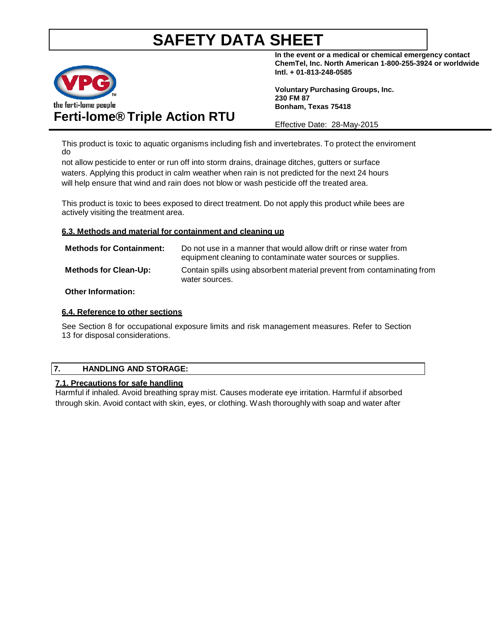

# **Ferti-lome® Triple Action RTU**

**In the event or a medical or chemical emergency contact ChemTel, Inc. North American 1-800-255-3924 or worldwide Intl. + 01-813-248-0585**

**Voluntary Purchasing Groups, Inc. 230 FM 87 Bonham, Texas 75418**

Effective Date: 28-May-2015

This product is toxic to aquatic organisms including fish and invertebrates. To protect the enviroment do

not allow pesticide to enter or run off into storm drains, drainage ditches, gutters or surface waters. Applying this product in calm weather when rain is not predicted for the next 24 hours will help ensure that wind and rain does not blow or wash pesticide off the treated area.

This product is toxic to bees exposed to direct treatment. Do not apply this product while bees are actively visiting the treatment area.

### **6.3. Methods and material for containment and cleaning up**

| <b>Methods for Containment:</b> | Do not use in a manner that would allow drift or rinse water from<br>equipment cleaning to contaminate water sources or supplies. |
|---------------------------------|-----------------------------------------------------------------------------------------------------------------------------------|
| <b>Methods for Clean-Up:</b>    | Contain spills using absorbent material prevent from contaminating from<br>water sources.                                         |
|                                 |                                                                                                                                   |

### **Other Information:**

### **6.4. Reference to other sections**

See Section 8 for occupational exposure limits and risk management measures. Refer to Section 13 for disposal considerations.

### **7. HANDLING AND STORAGE:**

### **7.1. Precautions for safe handling**

Harmful if inhaled. Avoid breathing spray mist. Causes moderate eye irritation. Harmful if absorbed through skin. Avoid contact with skin, eyes, or clothing. Wash thoroughly with soap and water after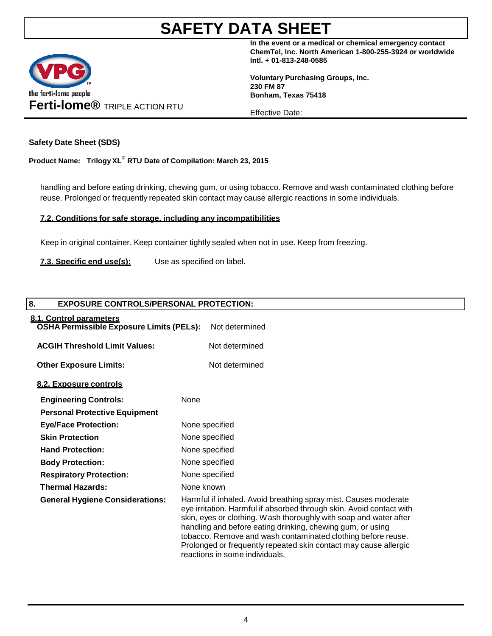

**In the event or a medical or chemical emergency contact ChemTel, Inc. North American 1-800-255-3924 or worldwide Intl. + 01-813-248-0585**

**Voluntary Purchasing Groups, Inc. 230 FM 87 Bonham, Texas 75418**

Effective Date:

### **Safety Date Sheet (SDS)**

**Product Name: Trilogy XL® RTU Date of Compilation: March 23, 2015**

handling and before eating drinking, chewing gum, or using tobacco. Remove and wash contaminated clothing before reuse. Prolonged or frequently repeated skin contact may cause allergic reactions in some individuals.

### **7.2. Conditions for safe storage, including any incompatibilities**

Keep in original container. Keep container tightly sealed when not in use. Keep from freezing.

**7.3. Specific end use(s):** Use as specified on label.

# **8. EXPOSURE CONTROLS/PERSONAL PROTECTION: 8.1. Control parameters OSHA Permissible Exposure Limits (PELs):** Not determined **ACGIH Threshold Limit Values:** Not determined **Other Exposure Limits:** Not determined **8.2. Exposure controls Engineering Controls:** None **Personal Protective Equipment Eye/Face Protection:** None specified **Skin Protection** None specified **Hand Protection:** None specified **Body Protection:** None specified **Respiratory Protection:** None specified **Thermal Hazards:** None known **General Hygiene Considerations:** Harmful if inhaled. Avoid breathing spray mist. Causes moderate eye irritation. Harmful if absorbed through skin. Avoid contact with

skin, eyes or clothing. Wash thoroughly with soap and water after handling and before eating drinking, chewing gum, or using tobacco. Remove and wash contaminated clothing before reuse. Prolonged or frequently repeated skin contact may cause allergic reactions in some individuals.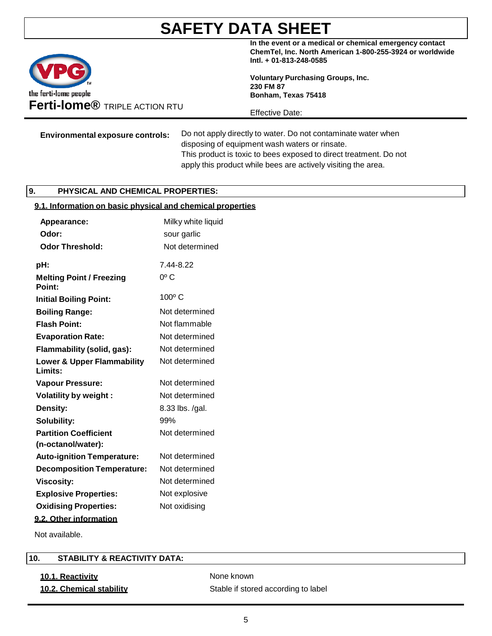

**In the event or a medical or chemical emergency contact ChemTel, Inc. North American 1-800-255-3924 or worldwide Intl. + 01-813-248-0585**

**Voluntary Purchasing Groups, Inc. 230 FM 87 Bonham, Texas 75418**

Effective Date:

**Environmental exposure controls:** Do not apply directly to water. Do not contaminate water when disposing of equipment wash waters or rinsate. This product is toxic to bees exposed to direct treatment. Do not apply this product while bees are actively visiting the area.

### **9. PHYSICAL AND CHEMICAL PROPERTIES:**

### **9.1. Information on basic physical and chemical properties**

| Appearance:<br>Odor:                             | Milky white liquid<br>sour garlic |
|--------------------------------------------------|-----------------------------------|
| <b>Odor Threshold:</b>                           | Not determined                    |
| pH:                                              | 744-822                           |
| <b>Melting Point / Freezing</b><br>Point:        | $0o$ C                            |
| <b>Initial Boiling Point:</b>                    | 100°C                             |
| <b>Boiling Range:</b>                            | Not determined                    |
| <b>Flash Point:</b>                              | Not flammable                     |
| <b>Evaporation Rate:</b>                         | Not determined                    |
| Flammability (solid, gas):                       | Not determined                    |
| <b>Lower &amp; Upper Flammability</b><br>Limits: | Not determined                    |
| <b>Vapour Pressure:</b>                          | Not determined                    |
| <b>Volatility by weight:</b>                     | Not determined                    |
| Density:                                         | 8.33 lbs. /gal.                   |
| Solubility:                                      | 99%                               |
| <b>Partition Coefficient</b>                     | Not determined                    |
| (n-octanol/water):                               |                                   |
| <b>Auto-ignition Temperature:</b>                | Not determined                    |
| <b>Decomposition Temperature:</b>                | Not determined                    |
| <b>Viscosity:</b>                                | Not determined                    |
| <b>Explosive Properties:</b>                     | Not explosive                     |
| <b>Oxidising Properties:</b>                     | Not oxidising                     |
| 9.2. Other information                           |                                   |
|                                                  |                                   |

Not available.

### **10. STABILITY & REACTIVITY DATA:**

# **10.1. Reactivity None known**

**10.2. Chemical stability** Stable if stored according to label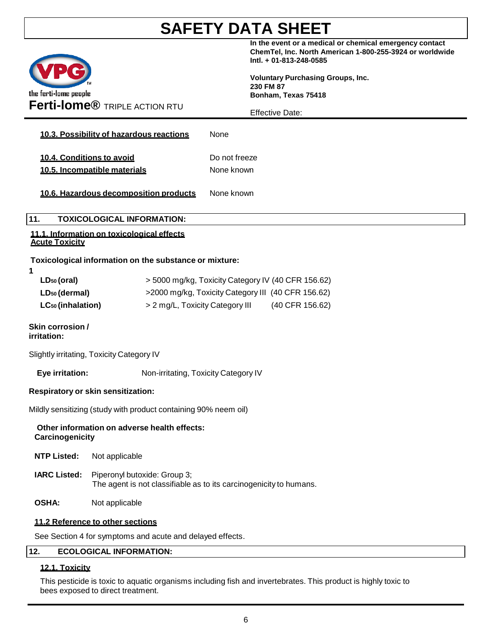

**In the event or a medical or chemical emergency contact ChemTel, Inc. North American 1-800-255-3924 or worldwide Intl. + 01-813-248-0585**

**Voluntary Purchasing Groups, Inc. 230 FM 87 Bonham, Texas 75418**

Effective Date:

|                                                           | LIJECIJVE DAJE.             |
|-----------------------------------------------------------|-----------------------------|
| 10.3. Possibility of hazardous reactions                  | None                        |
| 10.4. Conditions to avoid<br>10.5. Incompatible materials | Do not freeze<br>None known |
| 10.6. Hazardous decomposition products                    | None known                  |

### **11. TOXICOLOGICAL INFORMATION:**

### **11.1. Information on toxicological effects Acute Toxicity**

## **Toxicological information on the substance or mixture:**

| ٠ |  |  |
|---|--|--|
|   |  |  |
|   |  |  |

| LD <sub>50</sub> (oral)       | > 5000 mg/kg, Toxicity Category IV (40 CFR 156.62) |                 |  |
|-------------------------------|----------------------------------------------------|-----------------|--|
| LD <sub>50</sub> (dermal)     | >2000 mg/kg, Toxicity Category III (40 CFR 156.62) |                 |  |
| LC <sub>50</sub> (inhalation) | > 2 mg/L, Toxicity Category III                    | (40 CFR 156.62) |  |

### **Skin corrosion / irritation:**

Slightly irritating, Toxicity Category IV

**Eye irritation:** Non-irritating, Toxicity Category IV

## **Respiratory or skin sensitization:**

Mildly sensitizing (study with product containing 90% neem oil)

### **Other information on adverse health effects: Carcinogenicity**

- **NTP Listed:** Not applicable
- **IARC Listed:** Piperonyl butoxide: Group 3; The agent is not classifiable as to its carcinogenicity to humans.
- **OSHA:** Not applicable

## **11.2 Reference to other sections**

See Section 4 for symptoms and acute and delayed effects.

### **12. ECOLOGICAL INFORMATION:**

## **12.1. Toxicity**

This pesticide is toxic to aquatic organisms including fish and invertebrates. This product is highly toxic to bees exposed to direct treatment.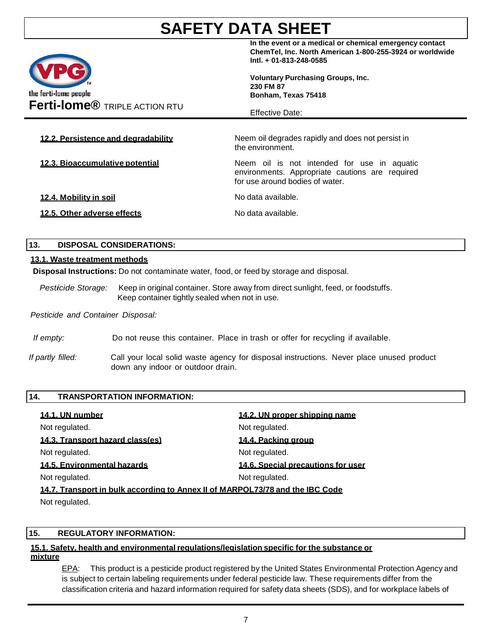

**In the event or a medical or chemical emergency contact ChemTel, Inc. North American 1-800-255-3924 or worldwide Intl. + 01-813-248-0585**

**Voluntary Purchasing Groups, Inc. 230 FM 87 Bonham, Texas 75418**

Effective Date:

**12.2. Persistence and degradability** Neem oil degrades rapidly and does not persist in the environment. **12.3. Bioaccumulative potential** Neem oil is not intended for use in aquatic environments. Appropriate cautions are required for use around bodies of water. **12.4. Mobility in soil** No data available. **12.5. Other adverse effects** No data available.

### **13. DISPOSAL CONSIDERATIONS:**

### **13.1. Waste treatment methods**

**Disposal Instructions:** Do not contaminate water, food, or feed by storage and disposal.

*Pesticide Storage:* Keep in original container. Store away from direct sunlight, feed, or foodstuffs. Keep container tightly sealed when not in use.

*Pesticide and Container Disposal:*

*If empty:* Do not reuse this container. Place in trash or offer for recycling if available.

*If partly filled:* Call your local solid waste agency for disposal instructions. Never place unused product down any indoor or outdoor drain.

| 14.<br><b>TRANSPORTATION INFORMATION:</b>                                     |                                    |
|-------------------------------------------------------------------------------|------------------------------------|
| 14.1. UN number                                                               | 14.2. UN proper shipping name      |
| Not regulated.                                                                | Not regulated.                     |
| 14.3. Transport hazard class(es)                                              | 14.4. Packing group                |
| Not regulated.                                                                | Not regulated.                     |
| 14.5. Environmental hazards                                                   | 14.6. Special precautions for user |
| Not regulated.                                                                | Not regulated.                     |
| 14.7. Transport in bulk according to Annex II of MARPOL73/78 and the IBC Code |                                    |
| Not regulated.                                                                |                                    |

### **15. REGULATORY INFORMATION:**

#### **15.1. Safety, health and environmental regulations/legislation specific for the substance or mixture**

EPA: This product is a pesticide product registered by the United States Environmental Protection Agency and is subject to certain labeling requirements under federal pesticide law. These requirements differ from the classification criteria and hazard information required for safety data sheets (SDS), and for workplace labels of